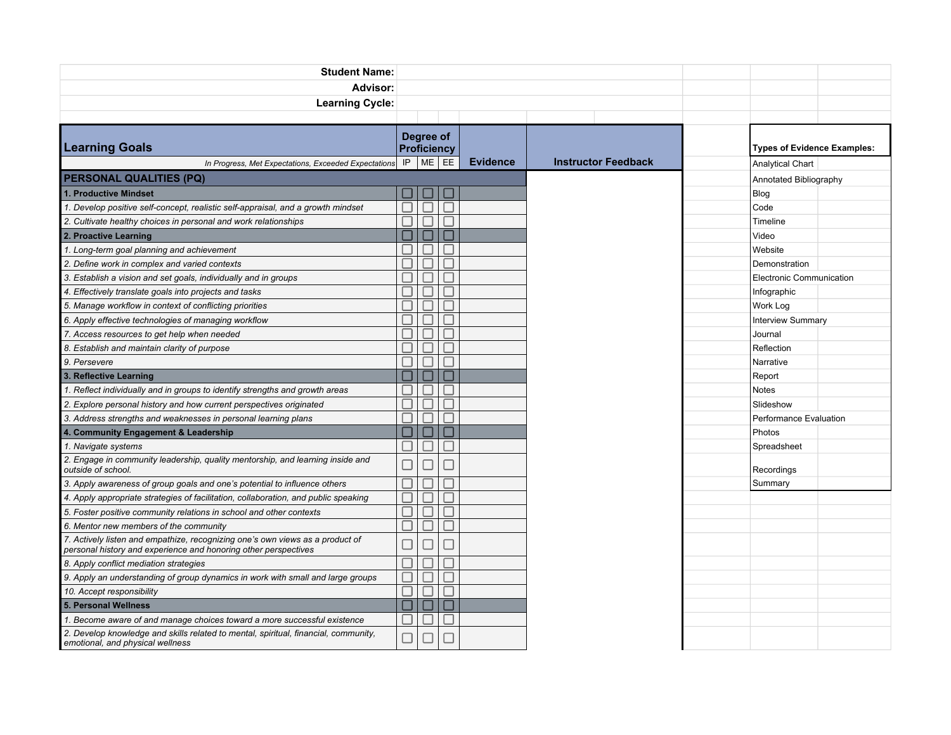| <b>Student Name:</b>                                                                                                                             |                                 |     |  |                 |                            |                          |                                    |  |  |
|--------------------------------------------------------------------------------------------------------------------------------------------------|---------------------------------|-----|--|-----------------|----------------------------|--------------------------|------------------------------------|--|--|
| Advisor:                                                                                                                                         |                                 |     |  |                 |                            |                          |                                    |  |  |
| <b>Learning Cycle:</b>                                                                                                                           |                                 |     |  |                 |                            |                          |                                    |  |  |
|                                                                                                                                                  |                                 |     |  |                 |                            |                          |                                    |  |  |
| <b>Learning Goals</b>                                                                                                                            | Degree of<br><b>Proficiency</b> |     |  |                 |                            |                          | <b>Types of Evidence Examples:</b> |  |  |
| In Progress, Met Expectations, Exceeded Expectations                                                                                             | ME EE<br>IP                     |     |  | <b>Evidence</b> | <b>Instructor Feedback</b> | <b>Analytical Chart</b>  |                                    |  |  |
| <b>PERSONAL QUALITIES (PQ)</b>                                                                                                                   |                                 |     |  |                 |                            | Annotated Bibliography   |                                    |  |  |
| 1. Productive Mindset                                                                                                                            |                                 |     |  |                 |                            | Blog                     |                                    |  |  |
| 1. Develop positive self-concept, realistic self-appraisal, and a growth mindset                                                                 |                                 |     |  |                 |                            | Code                     |                                    |  |  |
| 2. Cultivate healthy choices in personal and work relationships                                                                                  |                                 |     |  |                 |                            | Timeline                 |                                    |  |  |
| 2. Proactive Learning                                                                                                                            |                                 |     |  |                 |                            | Video                    |                                    |  |  |
| 1. Long-term goal planning and achievement                                                                                                       |                                 |     |  |                 |                            | Website                  |                                    |  |  |
| 2. Define work in complex and varied contexts                                                                                                    |                                 |     |  |                 |                            | Demonstration            |                                    |  |  |
| 3. Establish a vision and set goals, individually and in groups                                                                                  |                                 |     |  |                 |                            | Electronic Communication |                                    |  |  |
| 4. Effectively translate goals into projects and tasks                                                                                           |                                 |     |  |                 |                            | Infographic              |                                    |  |  |
| 5. Manage workflow in context of conflicting priorities                                                                                          |                                 |     |  |                 |                            | Work Log                 |                                    |  |  |
| 6. Apply effective technologies of managing workflow                                                                                             |                                 |     |  |                 |                            | <b>Interview Summary</b> |                                    |  |  |
| 7. Access resources to get help when needed                                                                                                      |                                 |     |  |                 |                            | Journal                  |                                    |  |  |
| 8. Establish and maintain clarity of purpose                                                                                                     |                                 |     |  |                 |                            | Reflection               |                                    |  |  |
| 9. Persevere                                                                                                                                     |                                 |     |  |                 |                            | Narrative                |                                    |  |  |
| 3. Reflective Learning                                                                                                                           |                                 |     |  |                 |                            | Report                   |                                    |  |  |
| 1. Reflect individually and in groups to identify strengths and growth areas                                                                     |                                 |     |  |                 |                            | <b>Notes</b>             |                                    |  |  |
| 2. Explore personal history and how current perspectives originated                                                                              |                                 |     |  |                 |                            | Slideshow                |                                    |  |  |
| 3. Address strengths and weaknesses in personal learning plans                                                                                   |                                 |     |  |                 |                            | Performance Evaluation   |                                    |  |  |
| 4. Community Engagement & Leadership                                                                                                             |                                 |     |  |                 |                            | Photos                   |                                    |  |  |
| 1. Navigate systems                                                                                                                              |                                 |     |  |                 |                            | Spreadsheet              |                                    |  |  |
| 2. Engage in community leadership, quality mentorship, and learning inside and<br>outside of school.                                             |                                 |     |  |                 |                            | Recordings               |                                    |  |  |
| 3. Apply awareness of group goals and one's potential to influence others                                                                        |                                 |     |  |                 |                            | Summary                  |                                    |  |  |
| 4. Apply appropriate strategies of facilitation, collaboration, and public speaking                                                              |                                 | . I |  |                 |                            |                          |                                    |  |  |
| 5. Foster positive community relations in school and other contexts                                                                              |                                 |     |  |                 |                            |                          |                                    |  |  |
| 6. Mentor new members of the community                                                                                                           |                                 |     |  |                 |                            |                          |                                    |  |  |
| 7. Actively listen and empathize, recognizing one's own views as a product of<br>personal history and experience and honoring other perspectives |                                 |     |  |                 |                            |                          |                                    |  |  |
| 8. Apply conflict mediation strategies                                                                                                           |                                 |     |  |                 |                            |                          |                                    |  |  |
| 9. Apply an understanding of group dynamics in work with small and large groups                                                                  |                                 |     |  |                 |                            |                          |                                    |  |  |
| 10. Accept responsibility                                                                                                                        |                                 |     |  |                 |                            |                          |                                    |  |  |
| 5. Personal Wellness                                                                                                                             |                                 |     |  |                 |                            |                          |                                    |  |  |
| 1. Become aware of and manage choices toward a more successful existence                                                                         |                                 |     |  |                 |                            |                          |                                    |  |  |
| 2. Develop knowledge and skills related to mental, spiritual, financial, community,<br>emotional, and physical wellness                          |                                 |     |  |                 |                            |                          |                                    |  |  |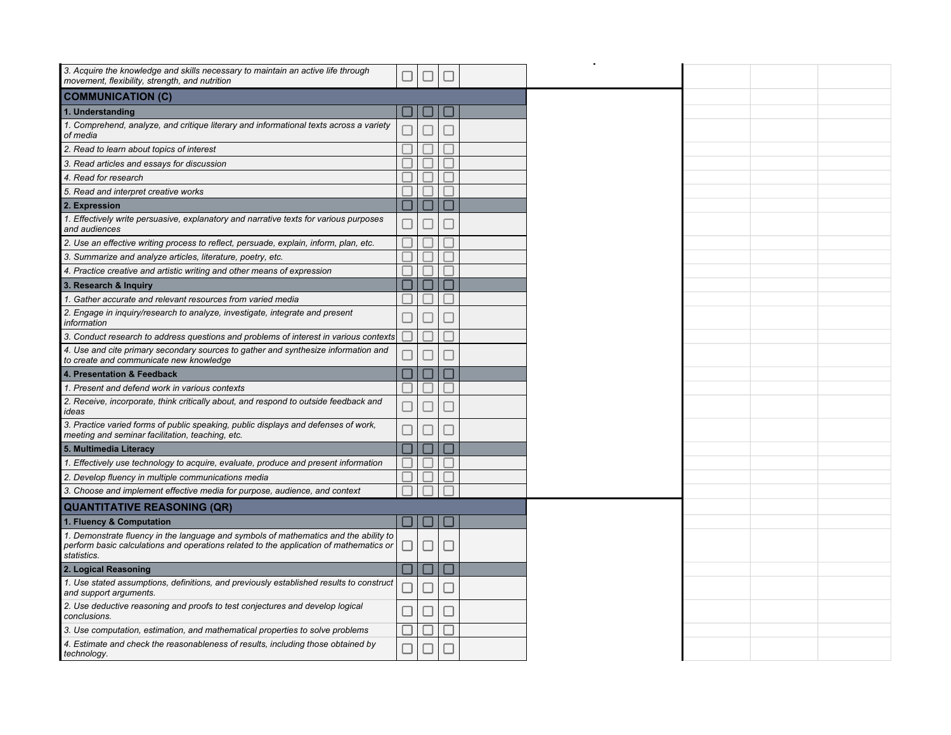| 3. Acquire the knowledge and skills necessary to maintain an active life through<br>movement, flexibility, strength, and nutrition     |        |                |                          |  |
|----------------------------------------------------------------------------------------------------------------------------------------|--------|----------------|--------------------------|--|
| <b>COMMUNICATION (C)</b>                                                                                                               |        |                |                          |  |
| 1. Understanding                                                                                                                       |        |                |                          |  |
| 1. Comprehend, analyze, and critique literary and informational texts across a variety<br>of media                                     |        |                |                          |  |
| 2. Read to learn about topics of interest                                                                                              |        |                |                          |  |
| 3. Read articles and essays for discussion                                                                                             |        |                |                          |  |
| 4. Read for research                                                                                                                   |        |                |                          |  |
| 5. Read and interpret creative works                                                                                                   |        |                |                          |  |
| 2. Expression                                                                                                                          |        |                |                          |  |
| 1. Effectively write persuasive, explanatory and narrative texts for various purposes<br>and audiences                                 |        |                |                          |  |
| 2. Use an effective writing process to reflect, persuade, explain, inform, plan, etc.                                                  |        |                |                          |  |
| 3. Summarize and analyze articles, literature, poetry, etc.                                                                            |        |                |                          |  |
| 4. Practice creative and artistic writing and other means of expression                                                                |        |                |                          |  |
| 3. Research & Inquiry                                                                                                                  |        |                |                          |  |
| 1. Gather accurate and relevant resources from varied media                                                                            |        |                |                          |  |
| 2. Engage in inquiry/research to analyze, investigate, integrate and present<br>information                                            |        |                |                          |  |
| 3. Conduct research to address questions and problems of interest in various contexts                                                  |        |                |                          |  |
| 4. Use and cite primary secondary sources to gather and synthesize information and<br>to create and communicate new knowledge          |        |                |                          |  |
| 4. Presentation & Feedback                                                                                                             |        |                |                          |  |
| 1. Present and defend work in various contexts                                                                                         |        |                |                          |  |
| 2. Receive, incorporate, think critically about, and respond to outside feedback and<br>ideas                                          |        |                |                          |  |
| 3. Practice varied forms of public speaking, public displays and defenses of work,<br>meeting and seminar facilitation, teaching, etc. |        |                |                          |  |
| 5. Multimedia Literacy                                                                                                                 |        |                |                          |  |
| 1. Effectively use technology to acquire, evaluate, produce and present information                                                    |        |                |                          |  |
| 2. Develop fluency in multiple communications media                                                                                    |        |                |                          |  |
| 3. Choose and implement effective media for purpose, audience, and context                                                             |        |                |                          |  |
| <b>QUANTITATIVE REASONING (QR)</b>                                                                                                     |        |                |                          |  |
| 1. Fluency & Computation                                                                                                               |        |                |                          |  |
| 1. Demonstrate fluency in the language and symbols of mathematics and the ability to                                                   |        |                |                          |  |
| perform basic calculations and operations related to the application of mathematics or<br>statistics.                                  | $\Box$ | $\Box$         | $\overline{\phantom{a}}$ |  |
| 2. Logical Reasoning                                                                                                                   |        | $\blacksquare$ |                          |  |
| 1. Use stated assumptions, definitions, and previously established results to construct<br>and support arguments.                      |        | ┚              | ш                        |  |
| 2. Use deductive reasoning and proofs to test conjectures and develop logical<br>conclusions.                                          |        | ┚              | $\overline{\phantom{a}}$ |  |
| 3. Use computation, estimation, and mathematical properties to solve problems                                                          |        |                |                          |  |
| 4. Estimate and check the reasonableness of results, including those obtained by<br>technology.                                        |        | □              |                          |  |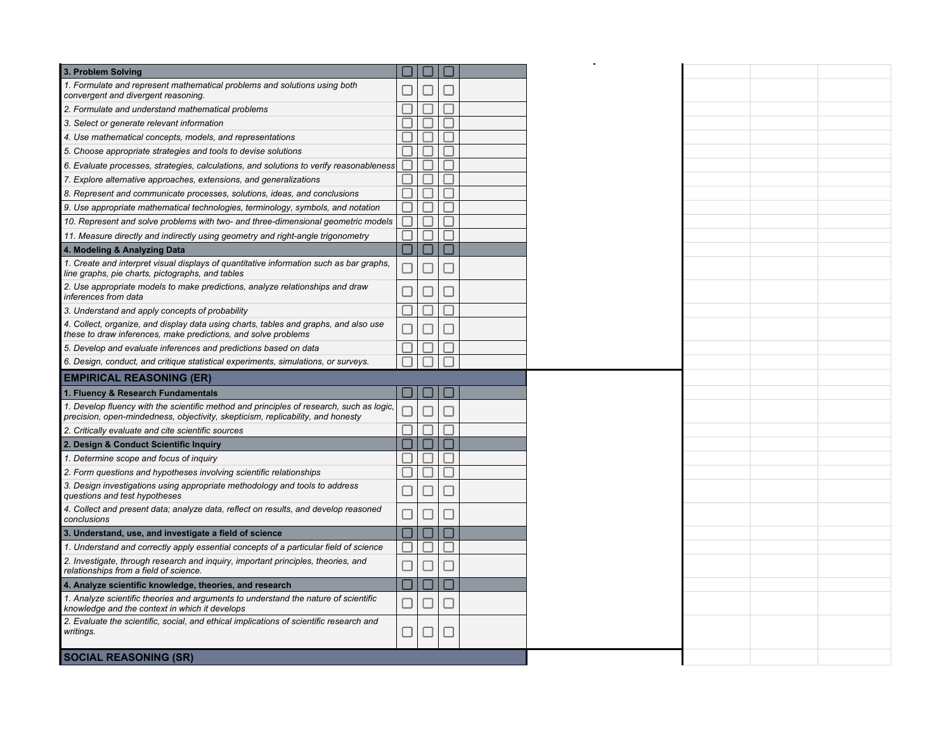|        | $\overline{\phantom{a}}$ |               |                                                                                                                  |
|--------|--------------------------|---------------|------------------------------------------------------------------------------------------------------------------|
|        |                          |               |                                                                                                                  |
|        |                          |               |                                                                                                                  |
|        |                          |               |                                                                                                                  |
|        |                          |               |                                                                                                                  |
|        |                          | . I           |                                                                                                                  |
|        |                          |               |                                                                                                                  |
|        |                          |               |                                                                                                                  |
|        |                          | $\Box$        |                                                                                                                  |
|        |                          |               |                                                                                                                  |
|        |                          |               |                                                                                                                  |
|        |                          |               |                                                                                                                  |
|        |                          | ×.            |                                                                                                                  |
|        |                          | $\mathcal{L}$ |                                                                                                                  |
|        |                          | H             |                                                                                                                  |
|        |                          |               |                                                                                                                  |
|        |                          |               |                                                                                                                  |
|        |                          |               |                                                                                                                  |
|        |                          |               |                                                                                                                  |
|        |                          |               |                                                                                                                  |
|        |                          |               |                                                                                                                  |
|        |                          |               |                                                                                                                  |
|        |                          |               |                                                                                                                  |
|        |                          |               |                                                                                                                  |
|        |                          |               |                                                                                                                  |
|        |                          |               |                                                                                                                  |
|        |                          |               |                                                                                                                  |
|        |                          | . I           |                                                                                                                  |
|        |                          |               |                                                                                                                  |
| $\Box$ |                          |               |                                                                                                                  |
|        |                          |               |                                                                                                                  |
|        |                          |               |                                                                                                                  |
| □      |                          |               |                                                                                                                  |
| □      |                          |               |                                                                                                                  |
|        |                          |               |                                                                                                                  |
|        |                          |               |                                                                                                                  |
|        |                          | $\Box$        | ப<br>П<br>$\overline{\phantom{a}}$<br>- 1<br>н<br>ш<br>$\Box$<br>$\Box$<br>H<br>$\mathcal{L}_{\mathcal{A}}$<br>Ш |